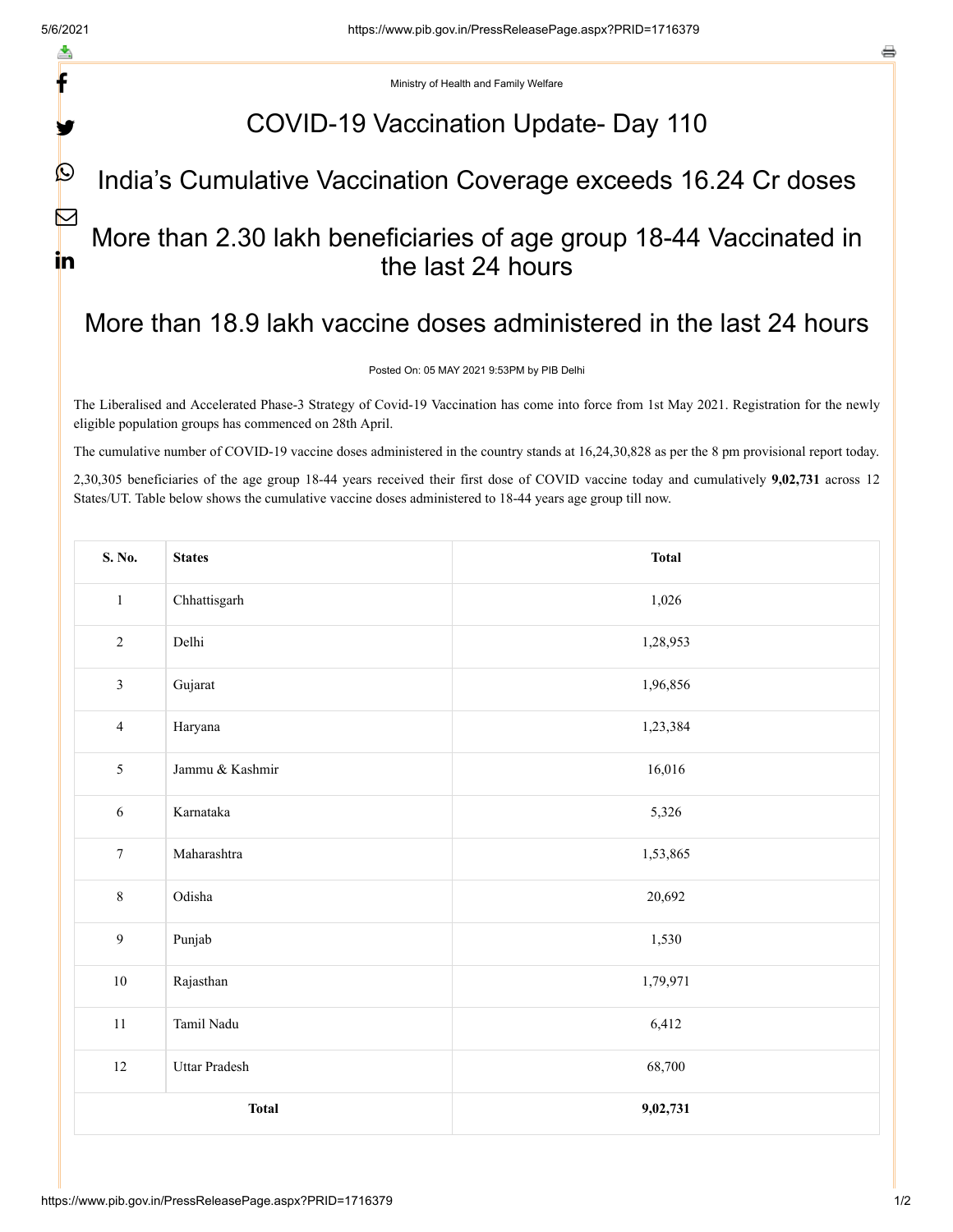f

V

 $\bigcirc$ 

 $\boxtimes$ 

in

e

Ministry of Health and Family Welfare

# COVID-19 Vaccination Update- Day 110

#### India's Cumulative Vaccination Coverage exceeds 16.24 Cr doses

### More than 2.30 lakh beneficiaries of age group 18-44 Vaccinated in the last 24 hours

# More than 18.9 lakh vaccine doses administered in the last 24 hours

Posted On: 05 MAY 2021 9:53PM by PIB Delhi

The Liberalised and Accelerated Phase-3 Strategy of Covid-19 Vaccination has come into force from 1st May 2021. Registration for the newly eligible population groups has commenced on 28th April.

The cumulative number of COVID-19 vaccine doses administered in the country stands at 16,24,30,828 as per the 8 pm provisional report today.

2,30,305 beneficiaries of the age group 18-44 years received their first dose of COVID vaccine today and cumulatively **9,02,731** across 12 States/UT. Table below shows the cumulative vaccine doses administered to 18-44 years age group till now.

| S. No.           | <b>States</b>   | <b>Total</b> |  |  |  |  |
|------------------|-----------------|--------------|--|--|--|--|
| $\mathbf{1}$     | Chhattisgarh    | 1,026        |  |  |  |  |
| $\sqrt{2}$       | Delhi           | 1,28,953     |  |  |  |  |
| $\mathfrak{Z}$   | Gujarat         | 1,96,856     |  |  |  |  |
| $\overline{4}$   | Haryana         | 1,23,384     |  |  |  |  |
| 5                | Jammu & Kashmir | 16,016       |  |  |  |  |
| $\sqrt{6}$       | Karnataka       | 5,326        |  |  |  |  |
| $\boldsymbol{7}$ | Maharashtra     | 1,53,865     |  |  |  |  |
| $8\,$            | Odisha          | 20,692       |  |  |  |  |
| $\mathbf{9}$     | Punjab          | 1,530        |  |  |  |  |
| $10\,$           | Rajasthan       | 1,79,971     |  |  |  |  |
| 11               | Tamil Nadu      | 6,412        |  |  |  |  |
| $12\,$           | Uttar Pradesh   | 68,700       |  |  |  |  |
|                  | <b>Total</b>    | 9,02,731     |  |  |  |  |